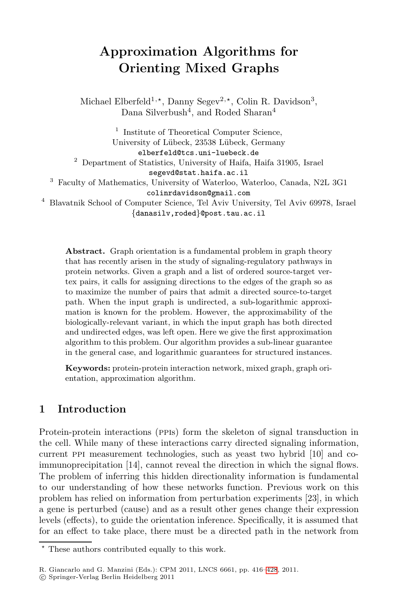# Approximation Algorithms for Orienting Mixed Graphs

Michael Elberfeld<sup>1,\*</sup>, Danny Segev<sup>2,\*</sup>, Colin R. Davidson<sup>3</sup>, Dana Silverbush<sup>4</sup>, and Roded Sharan<sup>4</sup>

<sup>1</sup> Institute of Theoretical Computer Science, University of Lübeck, 23538 Lübeck, Germany elberfeld@tcs.uni-luebeck.de <sup>2</sup> Department of Statistics, University of Haifa, Haifa 31905, Israel segevd@stat.haifa.ac.il <sup>3</sup> Faculty of Mathematics, University of Waterloo, Waterloo, Canada, N2L 3G1 colinrdavidson@gmail.com <sup>4</sup> Blavatnik School of Computer Science, Tel Aviv University, Tel Aviv 69978, Israel {danasilv,roded}@post.tau.ac.il

Abstract. Graph orientation is a fundamental problem in graph theory that has recently arisen in the study of signaling-regulatory pathways in protein networks. Given a graph and a list of ordered source-target vertex pairs, it calls for assigning directions to the edges of the graph so as to maximize the number of pairs that admit a directed source-to-target path. When the input graph is undirected, a sub-logarithmic approximation is known for the problem. However, the approximability of the biologically-relevant variant, in which the input graph has both directed and undirected edges, was left open. Here we give the first approximation algorithm to this problem. Our algorithm provides a sub-linear guarantee in the general case, and logarithmic guarantees for structured instances.

Keywords: protein-protein interaction network, mixed graph, graph orientation, approximation algorithm.

## 1 Introduction

Protein-protein interactions (ppis) form the skeleton of signal transduction in the cell. While many of these interactions carry directed signaling information, current ppi measurement technologies, such as yeast two hybrid [\[10\]](#page-11-0) and coimmunoprecipitation [\[14](#page-11-1)], cannot reveal the direction in which the signal flows. The problem of inferring this hidden directionality information is fundamental to our understanding of how these networks function. Previous work on this problem has relied on information from perturbation experiments [\[23\]](#page-12-0), in which a gene is perturbed (cause) and as a result other genes change their expression levels (effects), to guide the orientation inference. Specifically, it is assumed that for an effect to take place, there must be a directed path in the network from

<sup>\*</sup> These authors contributed equally to this work.

R. Giancarlo and G. Manzini (Eds.): CPM 2011, LNCS 6661, pp. 416[–428](#page-12-1), 2011.

<sup>!</sup>c Springer-Verlag Berlin Heidelberg 2011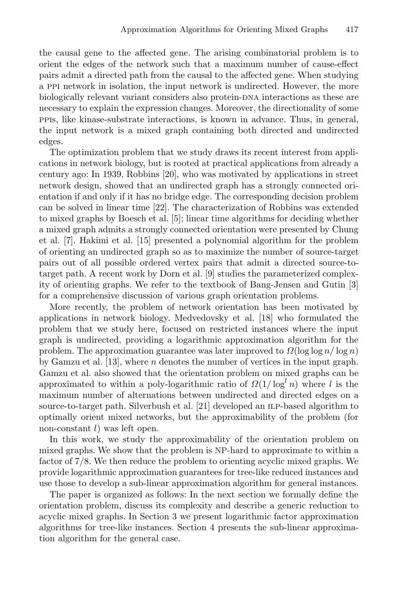the causal gene to the affected gene. The arising combinatorial problem is to orient the edges of the network such that a maximum number of cause-effect pairs admit a directed path from the causal to the affected gene. When studying a ppi network in isolation, the input network is undirected. However, the more biologically relevant variant considers also protein-DNA interactions as these are necessary to explain the expression changes. Moreover, the directionality of some ppis, like kinase-substrate interactions, is known in advance. Thus, in general, the input network is a mixed graph containing both directed and undirected edges.

The optimization problem that we study draws its recent interest from applications in network biology, but is rooted at practical applications from already a century ago: In 1939, Robbins [\[20\]](#page-12-2), who was motivated by applications in street network design, showed that an undirected graph has a strongly connected orientation if and only if it has no bridge edge. The corresponding decision problem can be solved in linear time [\[22\]](#page-12-3). The characterization of Robbins was extended to mixed graphs by Boesch et al. [\[5\]](#page-11-2); linear time algorithms for deciding whether a mixed graph admits a strongly connected orientation were presented by Chung et al. [\[7\]](#page-11-3). Hakimi et al. [\[15\]](#page-11-4) presented a polynomial algorithm for the problem of orienting an undirected graph so as to maximize the number of source-target pairs out of all possible ordered vertex pairs that admit a directed source-totarget path. A recent work by Dorn et al. [\[9\]](#page-11-5) studies the parameterized complexity of orienting graphs. We refer to the textbook of Bang-Jensen and Gutin [\[3\]](#page-11-6) for a comprehensive discussion of various graph orientation problems.

More recently, the problem of network orientation has been motivated by applications in network biology. Medvedovsky et al. [\[18\]](#page-12-4) who formulated the problem that we study here, focused on restricted instances where the input graph is undirected, providing a logarithmic approximation algorithm for the problem. The approximation guarantee was later improved to  $\Omega(\log \log n / \log n)$ by Gamzu et al. [\[13\]](#page-11-7), where n denotes the number of vertices in the input graph. Gamzu et al. also showed that the orientation problem on mixed graphs can be approximated to within a poly-logarithmic ratio of  $\Omega(1/\log^t n)$  where l is the maximum number of alternations between undirected and directed edges on a source-to-target path. Silverbush et al. [\[21\]](#page-12-5) developed an ILP-based algorithm to optimally orient mixed networks, but the approximability of the problem (for non-constant  $l$ ) was left open.

In this work, we study the approximability of the orientation problem on mixed graphs. We show that the problem is NP-hard to approximate to within a factor of 7/8. We then reduce the problem to orienting acyclic mixed graphs. We provide logarithmic approximation guarantees for tree-like reduced instances and use those to develop a sub-linear approximation algorithm for general instances.

The paper is organized as follows: In the next section we formally define the orientation problem, discuss its complexity and describe a generic reduction to acyclic mixed graphs. In Section [3](#page-3-0) we present logarithmic factor approximation algorithms for tree-like instances. Section [4](#page-6-0) presents the sub-linear approximation algorithm for the general case.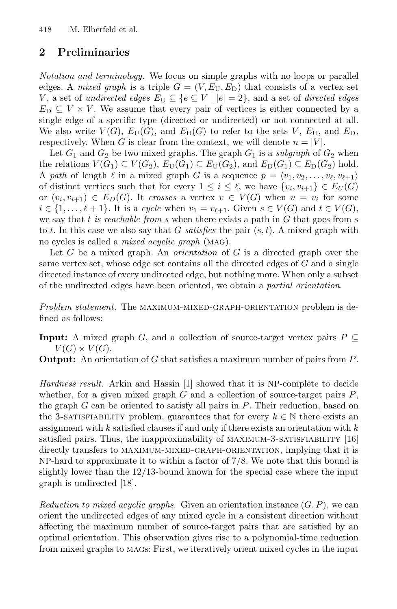## 2 Preliminaries

Notation and terminology. We focus on simple graphs with no loops or parallel edges. A mixed graph is a triple  $G = (V, E_{U}, E_{D})$  that consists of a vertex set V, a set of undirected edges  $E_U \subseteq \{e \subseteq V \mid |e|=2\}$ , and a set of directed edges  $E_D \subseteq V \times V$ . We assume that every pair of vertices is either connected by a single edge of a specific type (directed or undirected) or not connected at all. We also write  $V(G)$ ,  $E_U(G)$ , and  $E_D(G)$  to refer to the sets V,  $E_U$ , and  $E_D$ , respectively. When G is clear from the context, we will denote  $n = |V|$ .

Let  $G_1$  and  $G_2$  be two mixed graphs. The graph  $G_1$  is a subgraph of  $G_2$  when the relations  $V(G_1) \subseteq V(G_2)$ ,  $E_U(G_1) \subseteq E_U(G_2)$ , and  $E_D(G_1) \subseteq E_D(G_2)$  hold. A path of length  $\ell$  in a mixed graph G is a sequence  $p = \langle v_1, v_2, \ldots, v_{\ell}, v_{\ell+1} \rangle$ of distinct vertices such that for every  $1 \leq i \leq \ell$ , we have  $\{v_i, v_{i+1}\} \in E_U(G)$ or  $(v_i, v_{i+1}) \in E_D(G)$ . It crosses a vertex  $v \in V(G)$  when  $v = v_i$  for some  $i \in \{1,\ldots,\ell+1\}$ . It is a cycle when  $v_1 = v_{\ell+1}$ . Given  $s \in V(G)$  and  $t \in V(G)$ , we say that t is reachable from s when there exists a path in  $G$  that goes from s to t. In this case we also say that G satisfies the pair  $(s, t)$ . A mixed graph with no cycles is called a mixed acyclic graph (mag).

Let  $G$  be a mixed graph. An *orientation* of  $G$  is a directed graph over the same vertex set, whose edge set contains all the directed edges of G and a single directed instance of every undirected edge, but nothing more. When only a subset of the undirected edges have been oriented, we obtain a partial orientation.

Problem statement. The MAXIMUM-MIXED-GRAPH-ORIENTATION problem is defined as follows:

**Input:** A mixed graph G, and a collection of source-target vertex pairs  $P \subseteq$  $V(G) \times V(G)$ .

**Output:** An orientation of G that satisfies a maximum number of pairs from  $P$ .

Hardness result. Arkin and Hassin [\[1\]](#page-11-8) showed that it is NP-complete to decide whether, for a given mixed graph  $G$  and a collection of source-target pairs  $P$ , the graph  $G$  can be oriented to satisfy all pairs in  $P$ . Their reduction, based on the 3-satisfiability problem, guarantees that for every  $k \in \mathbb{N}$  there exists an assignment with  $k$  satisfied clauses if and only if there exists an orientation with  $k$ satisfied pairs. Thus, the inapproximability of MAXIMUM-3-SATISFIABILITY [\[16\]](#page-11-9) directly transfers to MAXIMUM-MIXED-GRAPH-ORIENTATION, implying that it is NP-hard to approximate it to within a factor of 7/8. We note that this bound is slightly lower than the 12/13-bound known for the special case where the input graph is undirected [\[18\]](#page-12-4).

Reduction to mixed acyclic graphs. Given an orientation instance  $(G, P)$ , we can orient the undirected edges of any mixed cycle in a consistent direction without affecting the maximum number of source-target pairs that are satisfied by an optimal orientation. This observation gives rise to a polynomial-time reduction from mixed graphs to mags: First, we iteratively orient mixed cycles in the input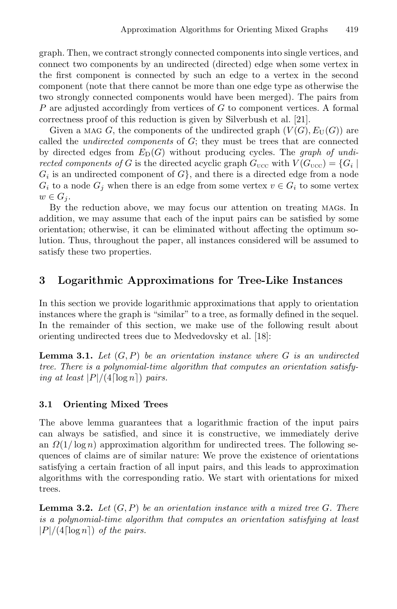graph. Then, we contract strongly connected components into single vertices, and connect two components by an undirected (directed) edge when some vertex in the first component is connected by such an edge to a vertex in the second component (note that there cannot be more than one edge type as otherwise the two strongly connected components would have been merged). The pairs from P are adjusted accordingly from vertices of G to component vertices. A formal correctness proof of this reduction is given by Silverbush et al. [\[21\]](#page-12-5).

Given a MAG G, the components of the undirected graph  $(V(G), E_U(G))$  are called the *undirected components* of  $G$ ; they must be trees that are connected by directed edges from  $E_D(G)$  without producing cycles. The *graph of undi*rected components of G is the directed acyclic graph  $G_{\text{ucc}}$  with  $V(G_{\text{ucc}}) = \{G_i \mid$  $G_i$  is an undirected component of  $G$ , and there is a directed edge from a node  $G_i$  to a node  $G_j$  when there is an edge from some vertex  $v \in G_i$  to some vertex  $w \in G_i$ .

<span id="page-3-0"></span>By the reduction above, we may focus our attention on treating mags. In addition, we may assume that each of the input pairs can be satisfied by some orientation; otherwise, it can be eliminated without affecting the optimum solution. Thus, throughout the paper, all instances considered will be assumed to satisfy these two properties.

## <span id="page-3-1"></span>3 Logarithmic Approximations for Tree-Like Instances

In this section we provide logarithmic approximations that apply to orientation instances where the graph is "similar" to a tree, as formally defined in the sequel. In the remainder of this section, we make use of the following result about orienting undirected trees due to Medvedovsky et al. [\[18\]](#page-12-4):

**Lemma 3.1.** Let  $(G, P)$  be an orientation instance where G is an undirected tree. There is a polynomial-time algorithm that computes an orientation satisfying at least  $|P|/(4 \lceil \log n \rceil)$  pairs.

#### <span id="page-3-2"></span>3.1 Orienting Mixed Trees

The above lemma guarantees that a logarithmic fraction of the input pairs can always be satisfied, and since it is constructive, we immediately derive an  $\Omega(1/\log n)$  approximation algorithm for undirected trees. The following sequences of claims are of similar nature: We prove the existence of orientations satisfying a certain fraction of all input pairs, and this leads to approximation algorithms with the corresponding ratio. We start with orientations for mixed trees.

**Lemma 3.2.** Let  $(G, P)$  be an orientation instance with a mixed tree G. There is a polynomial-time algorithm that computes an orientation satisfying at least  $|P|/(4 \lceil \log n \rceil)$  of the pairs.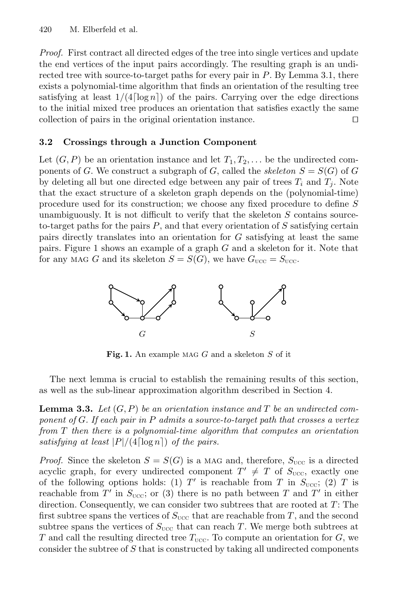<span id="page-4-2"></span>Proof. First contract all directed edges of the tree into single vertices and update the end vertices of the input pairs accordingly. The resulting graph is an undirected tree with source-to-target paths for every pair in P. By Lemma [3.1,](#page-3-1) there exists a polynomial-time algorithm that finds an orientation of the resulting tree satisfying at least  $1/(4 \lceil \log n \rceil)$  of the pairs. Carrying over the edge directions to the initial mixed tree produces an orientation that satisfies exactly the same collection of pairs in the original orientation instance.  $\Box$ 

#### 3.2 Crossings through a Junction Component

Let  $(G, P)$  be an orientation instance and let  $T_1, T_2, \ldots$  be the undirected components of G. We construct a subgraph of G, called the skeleton  $S = S(G)$  of G by deleting all but one directed edge between any pair of trees  $T_i$  and  $T_j$ . Note that the exact structure of a skeleton graph depends on the (polynomial-time) procedure used for its construction; we choose any fixed procedure to define S unambiguously. It is not difficult to verify that the skeleton S contains sourceto-target paths for the pairs  $P$ , and that every orientation of  $S$  satisfying certain pairs directly translates into an orientation for G satisfying at least the same pairs. Figure [1](#page-4-0) shows an example of a graph G and a skeleton for it. Note that for any MAG G and its skeleton  $S = S(G)$ , we have  $G_{\text{UCC}} = S_{\text{UCC}}$ .

<span id="page-4-1"></span><span id="page-4-0"></span>

**Fig. 1.** An example MAG G and a skeleton S of it

The next lemma is crucial to establish the remaining results of this section, as well as the sub-linear approximation algorithm described in Section [4.](#page-6-0)

**Lemma 3.3.** Let  $(G, P)$  be an orientation instance and T be an undirected component of G. If each pair in P admits a source-to-target path that crosses a vertex from T then there is a polynomial-time algorithm that computes an orientation satisfying at least  $|P|/(4 \lceil \log n \rceil)$  of the pairs.

*Proof.* Since the skeleton  $S = S(G)$  is a MAG and, therefore,  $S_{\text{UCC}}$  is a directed acyclic graph, for every undirected component  $T' \neq T$  of  $S_{\text{ucc}}$ , exactly one of the following options holds: (1) T' is reachable from T in  $S_{\text{UCC}}$ ; (2) T is reachable from T' in  $S_{\text{UCC}}$ ; or (3) there is no path between T and T' in either direction. Consequently, we can consider two subtrees that are rooted at  $T$ : The first subtree spans the vertices of  $S_{\text{UCC}}$  that are reachable from T, and the second subtree spans the vertices of  $S_{\text{UCC}}$  that can reach T. We merge both subtrees at T and call the resulting directed tree  $T_{\text{ucc}}$ . To compute an orientation for G, we consider the subtree of S that is constructed by taking all undirected components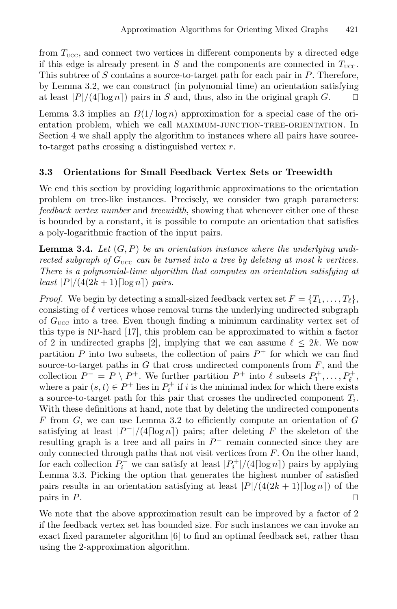from  $T_{\text{ucc}}$ , and connect two vertices in different components by a directed edge if this edge is already present in S and the components are connected in  $T_{\text{ucc}}$ . This subtree of S contains a source-to-target path for each pair in P. Therefore, by Lemma [3.2,](#page-3-2) we can construct (in polynomial time) an orientation satisfying at least  $|P|/(4\lceil \log n \rceil)$  pairs in S and, thus, also in the original graph G.  $\Box$ 

Lemma [3.3](#page-4-1) implies an  $\Omega(1/\log n)$  approximation for a special case of the orientation problem, which we call maximum-junction-tree-orientation. In Section [4](#page-6-0) we shall apply the algorithm to instances where all pairs have sourceto-target paths crossing a distinguished vertex  $r$ .

## 3.3 Orientations for Small Feedback Vertex Sets or Treewidth

We end this section by providing logarithmic approximations to the orientation problem on tree-like instances. Precisely, we consider two graph parameters: feedback vertex number and treewidth, showing that whenever either one of these is bounded by a constant, it is possible to compute an orientation that satisfies a poly-logarithmic fraction of the input pairs.

**Lemma 3.4.** Let  $(G, P)$  be an orientation instance where the underlying undirected subgraph of  $G_{\text{ucc}}$  can be turned into a tree by deleting at most k vertices. There is a polynomial-time algorithm that computes an orientation satisfying at least  $|P|/(4(2k+1)\lceil \log n \rceil)$  pairs.

*Proof.* We begin by detecting a small-sized feedback vertex set  $F = \{T_1, \ldots, T_\ell\},\$ consisting of  $\ell$  vertices whose removal turns the underlying undirected subgraph of  $G_{\text{ucc}}$  into a tree. Even though finding a minimum cardinality vertex set of this type is NP-hard [\[17\]](#page-11-10), this problem can be approximated to within a factor of 2 in undirected graphs [\[2\]](#page-11-11), implying that we can assume  $\ell \leq 2k$ . We now partition P into two subsets, the collection of pairs  $P^+$  for which we can find source-to-target paths in  $G$  that cross undirected components from  $F$ , and the collection  $P^- = P \setminus P^+$ . We further partition  $P^+$  into  $\ell$  subsets  $P_1^+$ , ...,  $P_\ell^+$ , where a pair  $(s, t) \in P^+$  lies in  $P_i^+$  if i is the minimal index for which there exists a source-to-target path for this pair that crosses the undirected component  $T_i$ . With these definitions at hand, note that by deleting the undirected components F from  $G$ , we can use Lemma [3.2](#page-3-2) to efficiently compute an orientation of  $G$ satisfying at least  $|P^-|/(4\lceil \log n \rceil)$  pairs; after deleting F the skeleton of the resulting graph is a tree and all pairs in  $P^-$  remain connected since they are only connected through paths that not visit vertices from  $F$ . On the other hand, for each collection  $P_i^+$  we can satisfy at least  $|P_i^+|/(4 \lceil \log n \rceil)$  pairs by applying Lemma [3.3.](#page-4-1) Picking the option that generates the highest number of satisfied pairs results in an orientation satisfying at least  $|P|/(4(2k+1)\lceil \log n \rceil)$  of the pairs in P. pairs in  $P$ .

We note that the above approximation result can be improved by a factor of 2 if the feedback vertex set has bounded size. For such instances we can invoke an exact fixed parameter algorithm [\[6\]](#page-11-12) to find an optimal feedback set, rather than using the 2-approximation algorithm.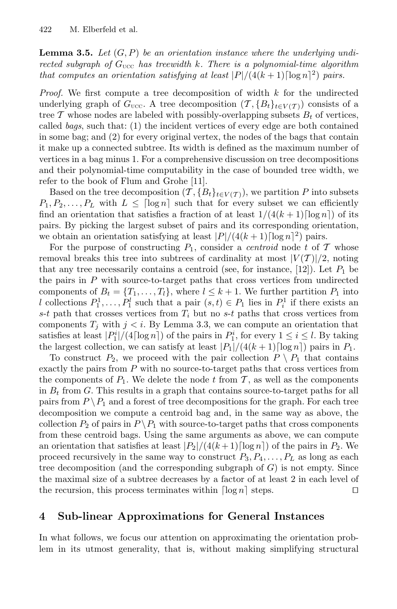**Lemma 3.5.** Let  $(G, P)$  be an orientation instance where the underlying undirected subgraph of  $G_{\text{UCC}}$  has treewidth k. There is a polynomial-time algorithm that computes an orientation satisfying at least  $|P|/(4(k+1)\lceil \log n \rceil^2)$  pairs.

*Proof.* We first compute a tree decomposition of width  $k$  for the undirected underlying graph of  $G_{\text{ucc}}$ . A tree decomposition  $(\mathcal{T}, \{B_t\}_{t \in V(\mathcal{T})})$  consists of a tree  $\mathcal T$  whose nodes are labeled with possibly-overlapping subsets  $B_t$  of vertices, called bags, such that: (1) the incident vertices of every edge are both contained in some bag; and (2) for every original vertex, the nodes of the bags that contain it make up a connected subtree. Its width is defined as the maximum number of vertices in a bag minus 1. For a comprehensive discussion on tree decompositions and their polynomial-time computability in the case of bounded tree width, we refer to the book of Flum and Grohe [\[11\]](#page-11-13).

Based on the tree decomposition  $(\mathcal{T}, \{B_t\}_{t\in V(\mathcal{T})})$ , we partition P into subsets  $P_1, P_2, \ldots, P_L$  with  $L \leq \lceil \log n \rceil$  such that for every subset we can efficiently find an orientation that satisfies a fraction of at least  $1/(4(k+1)\lceil \log n \rceil)$  of its pairs. By picking the largest subset of pairs and its corresponding orientation, we obtain an orientation satisfying at least  $|P|/(4(k+1)\lceil \log n \rceil^2)$  pairs.

For the purpose of constructing  $P_1$ , consider a *centroid* node t of T whose removal breaks this tree into subtrees of cardinality at most  $|V(\mathcal{T})|/2$ , noting that any tree necessarily contains a centroid (see, for instance,  $[12]$ ). Let  $P_1$  be the pairs in  $P$  with source-to-target paths that cross vertices from undirected components of  $B_t = \{T_1, \ldots, T_l\}$ , where  $l \leq k+1$ . We further partition  $P_1$  into l collections  $P_1^1, \ldots, P_1^l$  such that a pair  $(s, t) \in P_1$  lies in  $P_i^1$  if there exists an s-t path that crosses vertices from  $T_i$  but no s-t paths that cross vertices from components  $T_i$  with  $j < i$ . By Lemma [3.3,](#page-4-1) we can compute an orientation that satisfies at least  $|P_1^i|/(4 \lceil \log n \rceil)$  of the pairs in  $P_1^i$ , for every  $1 \le i \le l$ . By taking the largest collection, we can satisfy at least  $|P_1|/(4(k+1)\lceil \log n \rceil)$  pairs in  $P_1$ .

<span id="page-6-0"></span>To construct  $P_2$ , we proceed with the pair collection  $P \setminus P_1$  that contains exactly the pairs from  $P$  with no source-to-target paths that cross vertices from the components of  $P_1$ . We delete the node t from T, as well as the components in  $B_t$  from G. This results in a graph that contains source-to-target paths for all pairs from  $P \setminus P_1$  and a forest of tree decompositions for the graph. For each tree decomposition we compute a centroid bag and, in the same way as above, the collection  $P_2$  of pairs in  $P \setminus P_1$  with source-to-target paths that cross components from these centroid bags. Using the same arguments as above, we can compute an orientation that satisfies at least  $\frac{|P_2|}{(4(k+1))\log n}$  of the pairs in  $P_2$ . We proceed recursively in the same way to construct  $P_3, P_4, \ldots, P_L$  as long as each tree decomposition (and the corresponding subgraph of  $G$ ) is not empty. Since the maximal size of a subtree decreases by a factor of at least 2 in each level of the recursion, this process terminates within  $\lfloor \log n \rfloor$  steps.  $\Box$ 

## 4 Sub-linear Approximations for General Instances

In what follows, we focus our attention on approximating the orientation problem in its utmost generality, that is, without making simplifying structural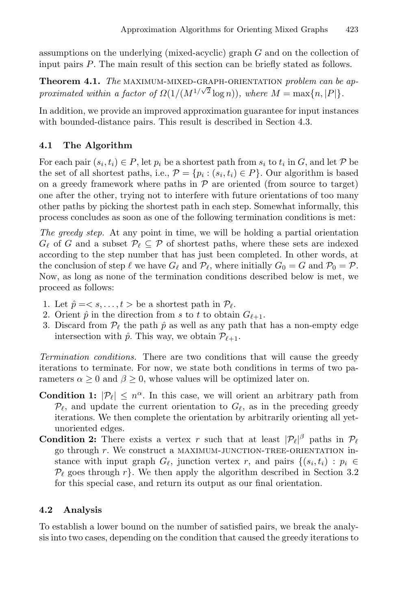assumptions on the underlying (mixed-acyclic) graph G and on the collection of input pairs P. The main result of this section can be briefly stated as follows.

Theorem 4.1. The MAXIMUM-MIXED-GRAPH-ORIENTATION problem can be approximated within a factor of  $\Omega(1/(M^{1/\sqrt{2}} \log n))$ , where  $M = \max\{n, |P|\}$ .

In addition, we provide an improved approximation guarantee for input instances with bounded-distance pairs. This result is described in Section [4.3.](#page-9-0)

## 4.1 The Algorithm

For each pair  $(s_i, t_i) \in P$ , let  $p_i$  be a shortest path from  $s_i$  to  $t_i$  in G, and let P be the set of all shortest paths, i.e.,  $P = \{p_i : (s_i, t_i) \in P\}$ . Our algorithm is based on a greedy framework where paths in  $P$  are oriented (from source to target) one after the other, trying not to interfere with future orientations of too many other paths by picking the shortest path in each step. Somewhat informally, this process concludes as soon as one of the following termination conditions is met:

The greedy step. At any point in time, we will be holding a partial orientation  $G_{\ell}$  of G and a subset  $\mathcal{P}_{\ell} \subseteq \mathcal{P}$  of shortest paths, where these sets are indexed according to the step number that has just been completed. In other words, at the conclusion of step  $\ell$  we have  $G_{\ell}$  and  $\mathcal{P}_{\ell}$ , where initially  $G_0 = G$  and  $\mathcal{P}_0 = \mathcal{P}$ . Now, as long as none of the termination conditions described below is met, we proceed as follows:

- 1. Let  $\hat{p} = \langle s, \ldots, t \rangle$  be a shortest path in  $\mathcal{P}_{\ell}$ .
- 2. Orient  $\hat{p}$  in the direction from s to t to obtain  $G_{\ell+1}$ .
- 3. Discard from  $\mathcal{P}_{\ell}$  the path  $\hat{p}$  as well as any path that has a non-empty edge intersection with  $\hat{p}$ . This way, we obtain  $\mathcal{P}_{\ell+1}$ .

Termination conditions. There are two conditions that will cause the greedy iterations to terminate. For now, we state both conditions in terms of two parameters  $\alpha \geq 0$  and  $\beta \geq 0$ , whose values will be optimized later on.

- **Condition 1:**  $|\mathcal{P}_{\ell}| \leq n^{\alpha}$ . In this case, we will orient an arbitrary path from  $\mathcal{P}_{\ell}$ , and update the current orientation to  $G_{\ell}$ , as in the preceding greedy iterations. We then complete the orientation by arbitrarily orienting all yetunoriented edges.
- <span id="page-7-0"></span>**Condition 2:** There exists a vertex r such that at least  $|\mathcal{P}_{\ell}|^{\beta}$  paths in  $\mathcal{P}_{\ell}$ go through  $r$ . We construct a MAXIMUM-JUNCTION-TREE-ORIENTATION instance with input graph  $G_{\ell}$ , junction vertex r, and pairs  $\{(s_i, t_i) : p_i \in$  $\mathcal{P}_{\ell}$  goes through r}. We then apply the algorithm described in Section [3.2](#page-4-2) for this special case, and return its output as our final orientation.

## 4.2 Analysis

To establish a lower bound on the number of satisfied pairs, we break the analysis into two cases, depending on the condition that caused the greedy iterations to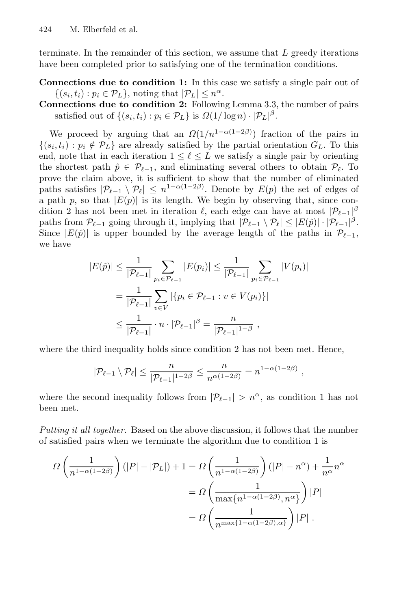terminate. In the remainder of this section, we assume that  $L$  greedy iterations have been completed prior to satisfying one of the termination conditions.

Connections due to condition 1: In this case we satisfy a single pair out of  $\{(s_i, t_i) : p_i \in \mathcal{P}_L\}$ , noting that  $|\mathcal{P}_L| \leq n^{\alpha}$ .

Connections due to condition 2: Following Lemma [3.3,](#page-4-1) the number of pairs satisfied out of  $\{(s_i, t_i) : p_i \in \mathcal{P}_L\}$  is  $\Omega(1/\log n) \cdot |\mathcal{P}_L|^{\beta}$ .

We proceed by arguing that an  $\Omega(1/n^{1-\alpha(1-2\beta)})$  fraction of the pairs in  $\{(s_i, t_i) : p_i \notin \mathcal{P}_L\}$  are already satisfied by the partial orientation  $G_L$ . To this end, note that in each iteration  $1 \leq \ell \leq L$  we satisfy a single pair by orienting the shortest path  $\hat{p} \in \mathcal{P}_{\ell-1}$ , and eliminating several others to obtain  $\mathcal{P}_{\ell}$ . To prove the claim above, it is sufficient to show that the number of eliminated paths satisfies  $|\mathcal{P}_{\ell-1} \setminus \mathcal{P}_{\ell}| \leq n^{1-\alpha(1-2\beta)}$ . Denote by  $E(p)$  the set of edges of a path p, so that  $|E(p)|$  is its length. We begin by observing that, since condition 2 has not been met in iteration  $\ell$ , each edge can have at most  $|\mathcal{P}_{\ell-1}|^{\beta}$ paths from  $\mathcal{P}_{\ell-1}$  going through it, implying that  $|\mathcal{P}_{\ell-1} \setminus \mathcal{P}_{\ell}| \leq |E(\hat{p})| \cdot |\mathcal{P}_{\ell-1}|^{\beta}$ . Since  $|E(\hat{p})|$  is upper bounded by the average length of the paths in  $\mathcal{P}_{\ell-1}$ , we have

$$
|E(\hat{p})| \leq \frac{1}{|\mathcal{P}_{\ell-1}|} \sum_{p_i \in \mathcal{P}_{\ell-1}} |E(p_i)| \leq \frac{1}{|\mathcal{P}_{\ell-1}|} \sum_{p_i \in \mathcal{P}_{\ell-1}} |V(p_i)|
$$
  
= 
$$
\frac{1}{|\mathcal{P}_{\ell-1}|} \sum_{v \in V} |\{p_i \in \mathcal{P}_{\ell-1} : v \in V(p_i)\}|
$$
  

$$
\leq \frac{1}{|\mathcal{P}_{\ell-1}|} \cdot n \cdot |\mathcal{P}_{\ell-1}|^{\beta} = \frac{n}{|\mathcal{P}_{\ell-1}|^{1-\beta}},
$$

where the third inequality holds since condition 2 has not been met. Hence,

$$
|\mathcal{P}_{\ell-1} \setminus \mathcal{P}_{\ell}| \leq \frac{n}{|\mathcal{P}_{\ell-1}|^{1-2\beta}} \leq \frac{n}{n^{\alpha(1-2\beta)}} = n^{1-\alpha(1-2\beta)},
$$

where the second inequality follows from  $|\mathcal{P}_{\ell-1}| > n^{\alpha}$ , as condition 1 has not been met.

Putting it all together. Based on the above discussion, it follows that the number of satisfied pairs when we terminate the algorithm due to condition 1 is

$$
\Omega\left(\frac{1}{n^{1-\alpha(1-2\beta)}}\right)(|P|-|\mathcal{P}_L|) + 1 = \Omega\left(\frac{1}{n^{1-\alpha(1-2\beta)}}\right)(|P|-n^{\alpha}) + \frac{1}{n^{\alpha}}n^{\alpha}
$$

$$
= \Omega\left(\frac{1}{\max\{n^{1-\alpha(1-2\beta)},n^{\alpha}\}}\right)|P|
$$

$$
= \Omega\left(\frac{1}{n^{\max\{1-\alpha(1-2\beta),\alpha\}}}\right)|P|.
$$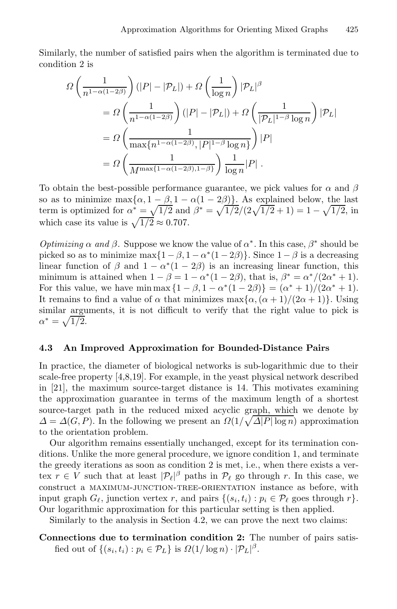Similarly, the number of satisfied pairs when the algorithm is terminated due to condition 2 is

$$
\Omega\left(\frac{1}{n^{1-\alpha(1-2\beta)}}\right)(|P|-|\mathcal{P}_L|) + \Omega\left(\frac{1}{\log n}\right)|\mathcal{P}_L|^{\beta}
$$
  
=  $\Omega\left(\frac{1}{n^{1-\alpha(1-2\beta)}}\right)(|P|-|\mathcal{P}_L|) + \Omega\left(\frac{1}{|\mathcal{P}_L|^{1-\beta}\log n}\right)|\mathcal{P}_L|$   
=  $\Omega\left(\frac{1}{\max\{n^{1-\alpha(1-2\beta)},|P|^{1-\beta}\log n\}}\right)|P|$   
=  $\Omega\left(\frac{1}{M^{\max\{1-\alpha(1-2\beta),1-\beta\}}}\right)\frac{1}{\log n}|P|$ .

To obtain the best-possible performance guarantee, we pick values for  $\alpha$  and  $\beta$ so as to minimize  $\max{\{\alpha, 1 - \beta, 1 - \alpha(1 - 2\beta)\}}$ . As explained below, the last term is optimized for  $\alpha^* = \sqrt{1/2}$  and  $\beta^* = \sqrt{1/2}/(2\sqrt{1/2} + 1) = 1 - \sqrt{1/2}$ , in which case its value is  $\sqrt{1/2} \approx 0.707$ .

<span id="page-9-0"></span>Optimizing  $\alpha$  and  $\beta$ . Suppose we know the value of  $\alpha^*$ . In this case,  $\beta^*$  should be picked so as to minimize max $\{1 - \beta, 1 - \alpha^*(1 - 2\beta)\}\$ . Since  $1 - \beta$  is a decreasing linear function of  $\beta$  and  $1 - \alpha^*(1 - 2\beta)$  is an increasing linear function, this minimum is attained when  $1 - \beta = 1 - \alpha^*(1 - 2\beta)$ , that is,  $\beta^* = \alpha^*/(2\alpha^* + 1)$ . For this value, we have min max  $\{1 - \beta, 1 - \alpha^*(1 - 2\beta)\} = (\alpha^* + 1)/(2\alpha^* + 1)$ . It remains to find a value of  $\alpha$  that minimizes  $\max{\alpha, (\alpha + 1)/(2\alpha + 1)}$ . Using similar arguments, it is not difficult to verify that the right value to pick is  $\alpha^* = \sqrt{1/2}.$ 

#### 4.3 An Improved Approximation for Bounded-Distance Pairs

In practice, the diameter of biological networks is sub-logarithmic due to their scale-free property [\[4](#page-11-15)[,8](#page-11-16)[,19\]](#page-12-6). For example, in the yeast physical network described in [\[21\]](#page-12-5), the maximum source-target distance is 14. This motivates examining the approximation guarantee in terms of the maximum length of a shortest source-target path in the reduced mixed acyclic graph, which we denote by  $\Delta = \Delta(G, P)$ . In the following we present an  $\Omega(1/\sqrt{\Delta|P|\log n})$  approximation to the orientation problem.

Our algorithm remains essentially unchanged, except for its termination conditions. Unlike the more general procedure, we ignore condition 1, and terminate the greedy iterations as soon as condition 2 is met, i.e., when there exists a vertex  $r \in V$  such that at least  $|\mathcal{P}_{\ell}|^{\beta}$  paths in  $\mathcal{P}_{\ell}$  go through r. In this case, we construct a maximum-junction-tree-orientation instance as before, with input graph  $G_{\ell}$ , junction vertex r, and pairs  $\{(s_i, t_i) : p_i \in \mathcal{P}_{\ell} \text{ goes through } r\}.$ Our logarithmic approximation for this particular setting is then applied.

Similarly to the analysis in Section [4.2,](#page-7-0) we can prove the next two claims:

Connections due to termination condition 2: The number of pairs satisfied out of  $\{(s_i, t_i) : p_i \in \mathcal{P}_L\}$  is  $\Omega(1/\log n) \cdot |\mathcal{P}_L|^{\beta}$ .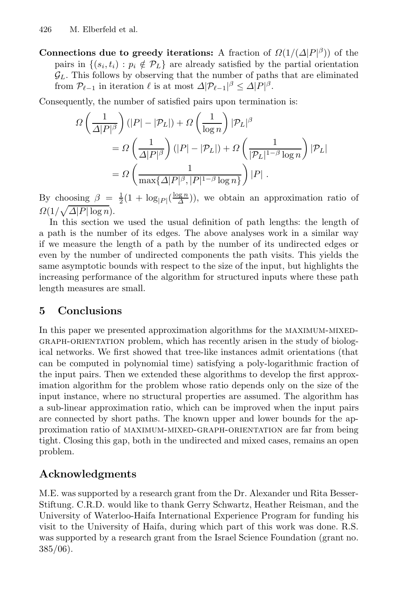Connections due to greedy iterations: A fraction of  $\Omega(1/(\Delta|P|^{\beta}))$  of the pairs in  $\{(s_i, t_i) : p_i \notin \mathcal{P}_L\}$  are already satisfied by the partial orientation  $\mathcal{G}_L$ . This follows by observing that the number of paths that are eliminated from  $\mathcal{P}_{\ell-1}$  in iteration  $\ell$  is at most  $\Delta |\mathcal{P}_{\ell-1}|^{\beta} \leq \Delta |P|^{\beta}$ .

Consequently, the number of satisfied pairs upon termination is:

$$
\begin{split} \varOmega\left(\frac{1}{\varDelta|P|^{\beta}}\right)(|P|-|\mathcal{P}_L|) + \varOmega\left(\frac{1}{\log n}\right)|\mathcal{P}_L|^{\beta} \\ & = \varOmega\left(\frac{1}{\varDelta|P|^{\beta}}\right)(|P|-|\mathcal{P}_L|) + \varOmega\left(\frac{1}{|\mathcal{P}_L|^{1-\beta}\log n}\right)|\mathcal{P}_L| \\ & = \varOmega\left(\frac{1}{\max\{\varDelta|P|^{\beta},|P|^{1-\beta}\log n\}}\right)|P| \ . \end{split}
$$

By choosing  $\beta = \frac{1}{2}(1 + \log_{|P|}(\frac{\log n}{\Delta}))$ , we obtain an approximation ratio of  $\Omega(1/\sqrt{\Delta|P|\log n}).$ 

In this section we used the usual definition of path lengths: the length of a path is the number of its edges. The above analyses work in a similar way if we measure the length of a path by the number of its undirected edges or even by the number of undirected components the path visits. This yields the same asymptotic bounds with respect to the size of the input, but highlights the increasing performance of the algorithm for structured inputs where these path length measures are small.

## 5 Conclusions

In this paper we presented approximation algorithms for the MAXIMUM-MIXEDgraph-orientation problem, which has recently arisen in the study of biological networks. We first showed that tree-like instances admit orientations (that can be computed in polynomial time) satisfying a poly-logarithmic fraction of the input pairs. Then we extended these algorithms to develop the first approximation algorithm for the problem whose ratio depends only on the size of the input instance, where no structural properties are assumed. The algorithm has a sub-linear approximation ratio, which can be improved when the input pairs are connected by short paths. The known upper and lower bounds for the approximation ratio of maximum-mixed-graph-orientation are far from being tight. Closing this gap, both in the undirected and mixed cases, remains an open problem.

# Acknowledgments

M.E. was supported by a research grant from the Dr. Alexander und Rita Besser-Stiftung. C.R.D. would like to thank Gerry Schwartz, Heather Reisman, and the University of Waterloo-Haifa International Experience Program for funding his visit to the University of Haifa, during which part of this work was done. R.S. was supported by a research grant from the Israel Science Foundation (grant no.  $385/06$ ).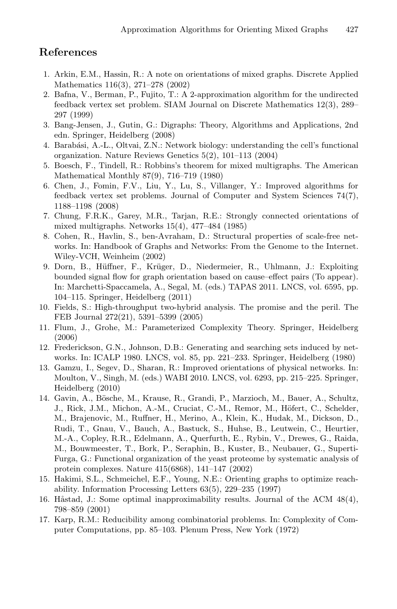## <span id="page-11-11"></span><span id="page-11-8"></span><span id="page-11-6"></span>References

- <span id="page-11-15"></span><span id="page-11-2"></span>1. Arkin, E.M., Hassin, R.: A note on orientations of mixed graphs. Discrete Applied Mathematics 116(3), 271–278 (2002)
- <span id="page-11-12"></span>2. Bafna, V., Berman, P., Fujito, T.: A 2-approximation algorithm for the undirected feedback vertex set problem. SIAM Journal on Discrete Mathematics 12(3), 289– 297 (1999)
- <span id="page-11-3"></span>3. Bang-Jensen, J., Gutin, G.: Digraphs: Theory, Algorithms and Applications, 2nd edn. Springer, Heidelberg (2008)
- <span id="page-11-16"></span>4. Barab´asi, A.-L., Oltvai, Z.N.: Network biology: understanding the cell's functional organization. Nature Reviews Genetics 5(2), 101–113 (2004)
- <span id="page-11-5"></span>5. Boesch, F., Tindell, R.: Robbins's theorem for mixed multigraphs. The American Mathematical Monthly 87(9), 716–719 (1980)
- 6. Chen, J., Fomin, F.V., Liu, Y., Lu, S., Villanger, Y.: Improved algorithms for feedback vertex set problems. Journal of Computer and System Sciences 74(7), 1188–1198 (2008)
- <span id="page-11-0"></span>7. Chung, F.R.K., Garey, M.R., Tarjan, R.E.: Strongly connected orientations of mixed multigraphs. Networks 15(4), 477–484 (1985)
- <span id="page-11-13"></span>8. Cohen, R., Havlin, S., ben-Avraham, D.: Structural properties of scale-free networks. In: Handbook of Graphs and Networks: From the Genome to the Internet. Wiley-VCH, Weinheim (2002)
- <span id="page-11-14"></span><span id="page-11-7"></span>9. Dorn, B., Hüffner, F., Krüger, D., Niedermeier, R., Uhlmann, J.: Exploiting bounded signal flow for graph orientation based on cause–effect pairs (To appear). In: Marchetti-Spaccamela, A., Segal, M. (eds.) TAPAS 2011. LNCS, vol. 6595, pp. 104–115. Springer, Heidelberg (2011)
- <span id="page-11-1"></span>10. Fields, S.: High-throughput two-hybrid analysis. The promise and the peril. The FEB Journal 272(21), 5391–5399 (2005)
- 11. Flum, J., Grohe, M.: Parameterized Complexity Theory. Springer, Heidelberg (2006)
- 12. Frederickson, G.N., Johnson, D.B.: Generating and searching sets induced by networks. In: ICALP 1980. LNCS, vol. 85, pp. 221–233. Springer, Heidelberg (1980)
- 13. Gamzu, I., Segev, D., Sharan, R.: Improved orientations of physical networks. In: Moulton, V., Singh, M. (eds.) WABI 2010. LNCS, vol. 6293, pp. 215–225. Springer, Heidelberg (2010)
- <span id="page-11-10"></span><span id="page-11-9"></span><span id="page-11-4"></span>14. Gavin, A., Bösche, M., Krause, R., Grandi, P., Marzioch, M., Bauer, A., Schultz, J., Rick, J.M., Michon, A.-M., Cruciat, C.-M., Remor, M., Höfert, C., Schelder, M., Brajenovic, M., Ruffner, H., Merino, A., Klein, K., Hudak, M., Dickson, D., Rudi, T., Gnau, V., Bauch, A., Bastuck, S., Huhse, B., Leutwein, C., Heurtier, M.-A., Copley, R.R., Edelmann, A., Querfurth, E., Rybin, V., Drewes, G., Raida, M., Bouwmeester, T., Bork, P., Seraphin, B., Kuster, B., Neubauer, G., Superti-Furga, G.: Functional organization of the yeast proteome by systematic analysis of protein complexes. Nature 415(6868), 141–147 (2002)
- 15. Hakimi, S.L., Schmeichel, E.F., Young, N.E.: Orienting graphs to optimize reachability. Information Processing Letters 63(5), 229–235 (1997)
- 16. Håstad, J.: Some optimal inapproximability results. Journal of the ACM  $48(4)$ , 798–859 (2001)
- 17. Karp, R.M.: Reducibility among combinatorial problems. In: Complexity of Computer Computations, pp. 85–103. Plenum Press, New York (1972)